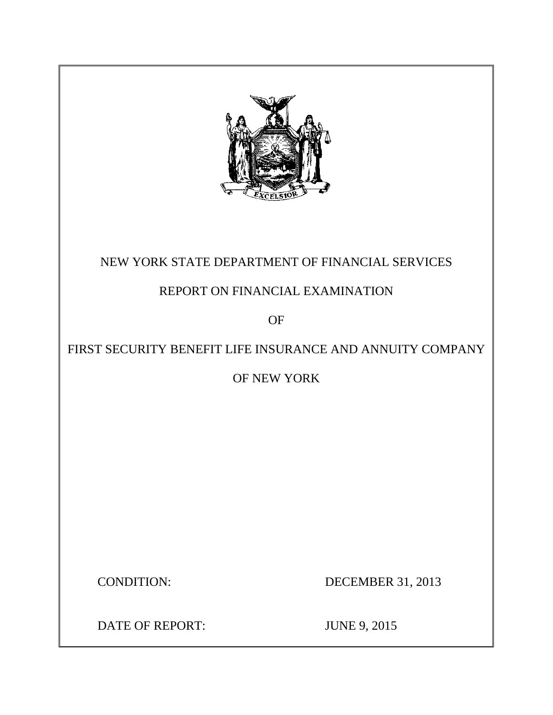

## NEW YORK STATE DEPARTMENT OF FINANCIAL SERVICES

## REPORT ON FINANCIAL EXAMINATION

OF

## FIRST SECURITY BENEFIT LIFE INSURANCE AND ANNUITY COMPANY

OF NEW YORK

**CONDITION:** 

DECEMBER 31, 2013

DATE OF REPORT: JUNE 9, 2015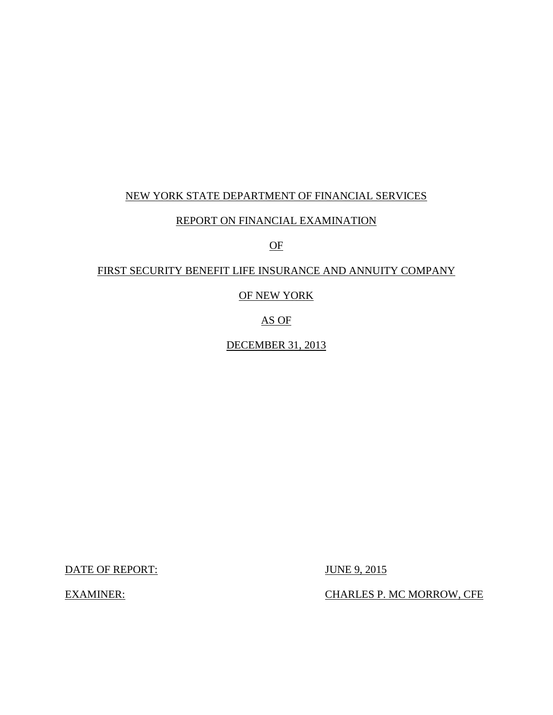## NEW YORK STATE DEPARTMENT OF FINANCIAL SERVICES

### REPORT ON FINANCIAL EXAMINATION

## OF

### FIRST SECURITY BENEFIT LIFE INSURANCE AND ANNUITY COMPANY

### OF NEW YORK

## AS OF

## DECEMBER 31, 2013

DATE OF REPORT: JUNE 9, 2015

**EXAMINER:** 

CHARLES P. MC MORROW, CFE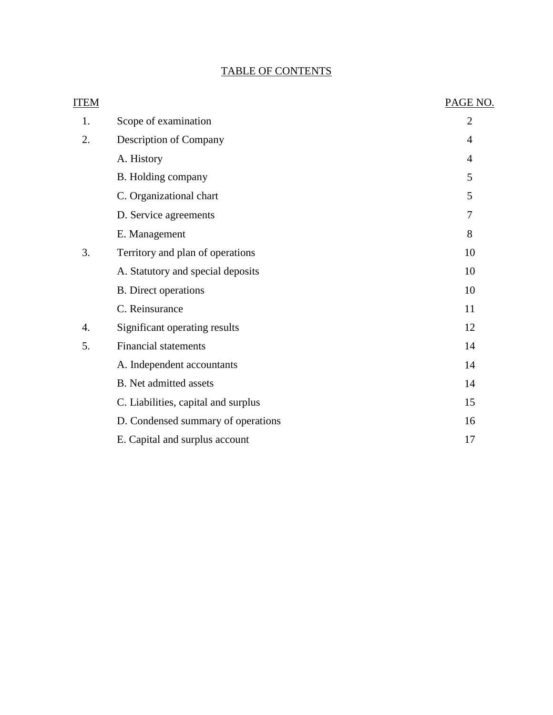## TABLE OF CONTENTS

| <b>ITEM</b> |                                     | PAGE NO.       |
|-------------|-------------------------------------|----------------|
| 1.          | Scope of examination                | $\overline{2}$ |
| 2.          | Description of Company              | $\overline{4}$ |
|             | A. History                          | 4              |
|             | B. Holding company                  | 5              |
|             | C. Organizational chart             | 5              |
|             | D. Service agreements               | 7              |
|             | E. Management                       | 8              |
| 3.          | Territory and plan of operations    | 10             |
|             | A. Statutory and special deposits   | 10             |
|             | <b>B.</b> Direct operations         | 10             |
|             | C. Reinsurance                      | 11             |
| 4.          | Significant operating results       | 12             |
| 5.          | <b>Financial statements</b>         | 14             |
|             | A. Independent accountants          | 14             |
|             | B. Net admitted assets              | 14             |
|             | C. Liabilities, capital and surplus | 15             |
|             | D. Condensed summary of operations  | 16             |
|             | E. Capital and surplus account      | 17             |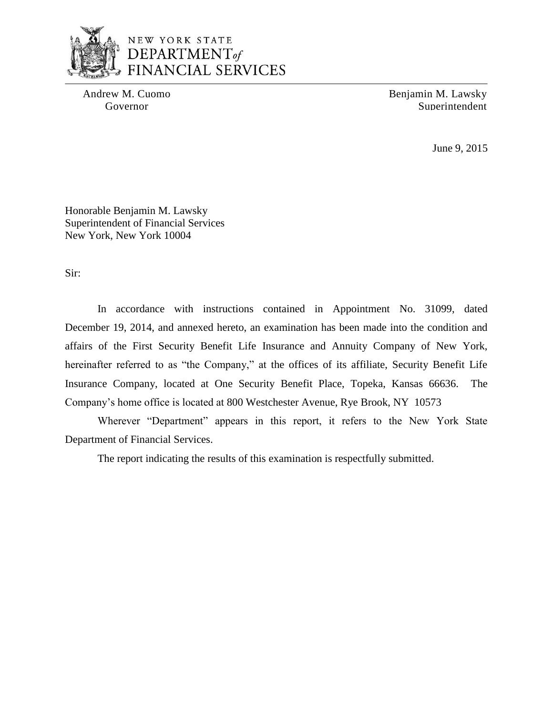

## NEW YORK STATE DEPARTMENT of **FINANCIAL SERVICES**

Andrew M. Cuomo Benjamin M. Lawsky Governor Superintendent Superintendent

June 9, 2015

Honorable Benjamin M. Lawsky Superintendent of Financial Services New York, New York 10004

Sir:

 In accordance with instructions contained in Appointment No. 31099, dated December 19, 2014, and annexed hereto, an examination has been made into the condition and affairs of the First Security Benefit Life Insurance and Annuity Company of New York, hereinafter referred to as "the Company," at the offices of its affiliate, Security Benefit Life Insurance Company, located at One Security Benefit Place, Topeka, Kansas 66636. The Company's home office is located at 800 Westchester Avenue, Rye Brook, NY 10573

Wherever "Department" appears in this report, it refers to the New York State Department of Financial Services.

The report indicating the results of this examination is respectfully submitted.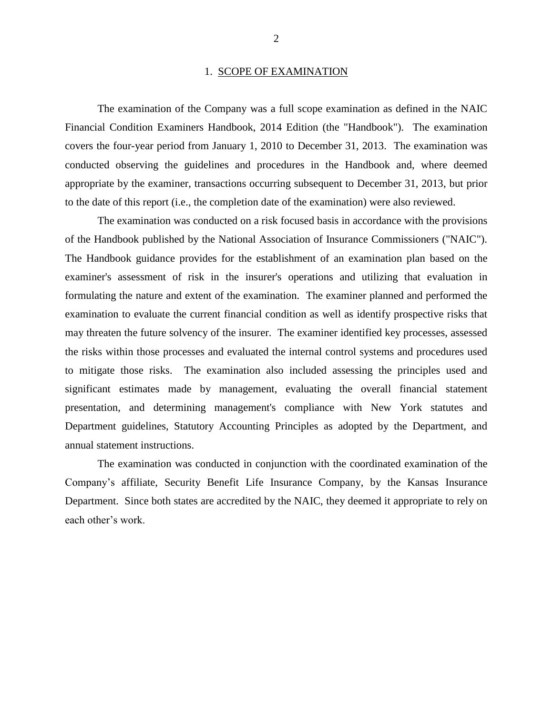#### 1. SCOPE OF EXAMINATION

<span id="page-4-0"></span> The examination of the Company was a full scope examination as defined in the NAIC Financial Condition Examiners Handbook, 2014 Edition (the "Handbook"). The examination covers the four-year period from January 1, 2010 to December 31, 2013. The examination was conducted observing the guidelines and procedures in the Handbook and, where deemed appropriate by the examiner, transactions occurring subsequent to December 31, 2013, but prior to the date of this report (i.e., the completion date of the examination) were also reviewed.

 of the Handbook published by the National Association of Insurance Commissioners ("NAIC"). formulating the nature and extent of the examination. The examiner planned and performed the examination to evaluate the current financial condition as well as identify prospective risks that may threaten the future solvency of the insurer. The examiner identified key processes, assessed to mitigate those risks. The examination also included assessing the principles used and significant estimates made by management, evaluating the overall financial statement Department guidelines, Statutory Accounting Principles as adopted by the Department, and The examination was conducted on a risk focused basis in accordance with the provisions The Handbook guidance provides for the establishment of an examination plan based on the examiner's assessment of risk in the insurer's operations and utilizing that evaluation in the risks within those processes and evaluated the internal control systems and procedures used presentation, and determining management's compliance with New York statutes and annual statement instructions.

 Company's affiliate, Security Benefit Life Insurance Company, by the Kansas Insurance Department. Since both states are accredited by the NAIC, they deemed it appropriate to rely on The examination was conducted in conjunction with the coordinated examination of the each other's work.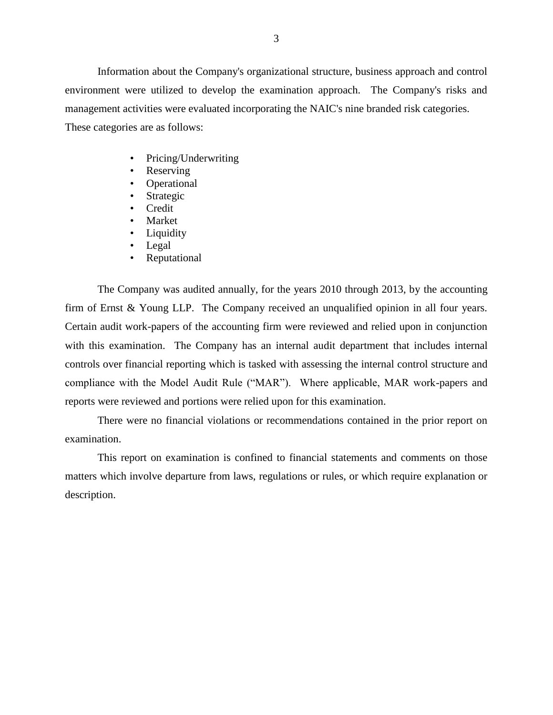environment were utilized to develop the examination approach. The Company's risks and These categories are as follows: Information about the Company's organizational structure, business approach and control management activities were evaluated incorporating the NAIC's nine branded risk categories.

- Pricing/Underwriting
- **Reserving**
- Operational
- **Strategic**
- Credit
- Market
- Liquidity
- Legal
- Reputational

 firm of Ernst & Young LLP. The Company received an unqualified opinion in all four years. Certain audit work-papers of the accounting firm were reviewed and relied upon in conjunction with this examination. The Company has an internal audit department that includes internal controls over financial reporting which is tasked with assessing the internal control structure and compliance with the Model Audit Rule ("MAR"). Where applicable, MAR work-papers and The Company was audited annually, for the years 2010 through 2013, by the accounting reports were reviewed and portions were relied upon for this examination.

 There were no financial violations or recommendations contained in the prior report on examination.

 matters which involve departure from laws, regulations or rules, or which require explanation or This report on examination is confined to financial statements and comments on those description.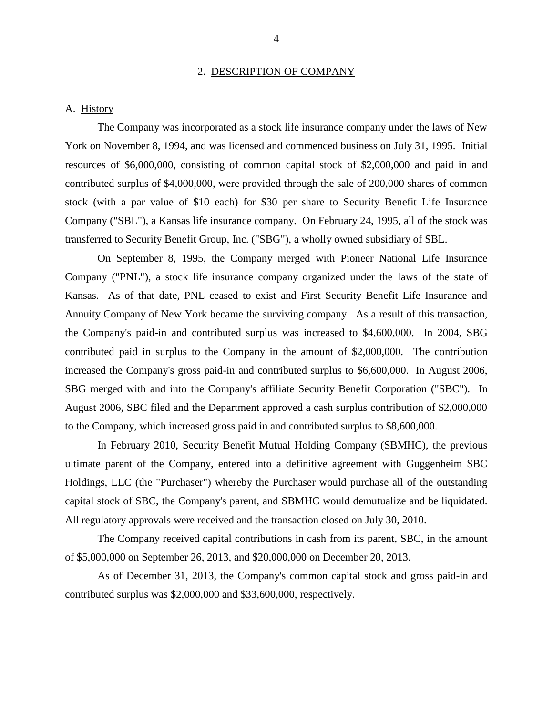#### 2. DESCRIPTION OF COMPANY

#### <span id="page-6-0"></span>A. History

 The Company was incorporated as a stock life insurance company under the laws of New York on November 8, 1994, and was licensed and commenced business on July 31, 1995. Initial resources of \$6,000,000, consisting of common capital stock of \$2,000,000 and paid in and contributed surplus of \$4,000,000, were provided through the sale of 200,000 shares of common stock (with a par value of \$10 each) for \$30 per share to Security Benefit Life Insurance Company ("SBL"), a Kansas life insurance company. On February 24, 1995, all of the stock was transferred to Security Benefit Group, Inc. ("SBG"), a wholly owned subsidiary of SBL.

 On September 8, 1995, the Company merged with Pioneer National Life Insurance Company ("PNL"), a stock life insurance company organized under the laws of the state of Kansas. As of that date, PNL ceased to exist and First Security Benefit Life Insurance and Annuity Company of New York became the surviving company. As a result of this transaction, contributed paid in surplus to the Company in the amount of \$2,000,000. The contribution increased the Company's gross paid-in and contributed surplus to \$6,600,000. In August 2006, August 2006, SBC filed and the Department approved a cash surplus contribution of \$2,000,000 the Company's paid-in and contributed surplus was increased to \$4,600,000. In 2004, SBG SBG merged with and into the Company's affiliate Security Benefit Corporation ("SBC"). In to the Company, which increased gross paid in and contributed surplus to \$8,600,000.

 In February 2010, Security Benefit Mutual Holding Company (SBMHC), the previous ultimate parent of the Company, entered into a definitive agreement with Guggenheim SBC Holdings, LLC (the "Purchaser") whereby the Purchaser would purchase all of the outstanding capital stock of SBC, the Company's parent, and SBMHC would demutualize and be liquidated. All regulatory approvals were received and the transaction closed on July 30, 2010.

 The Company received capital contributions in cash from its parent, SBC, in the amount of \$5,000,000 on September 26, 2013, and \$20,000,000 on December 20, 2013.

 As of December 31, 2013, the Company's common capital stock and gross paid-in and contributed surplus was \$2,000,000 and \$33,600,000, respectively.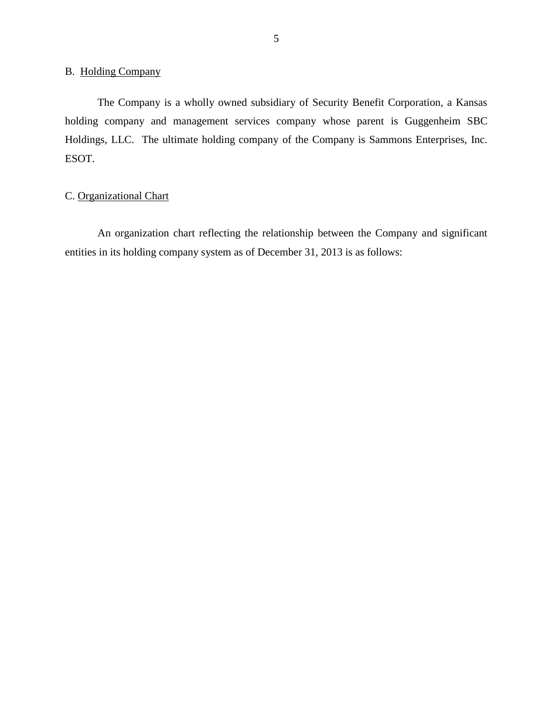### <span id="page-7-0"></span>B. Holding Company

 The Company is a wholly owned subsidiary of Security Benefit Corporation, a Kansas holding company and management services company whose parent is Guggenheim SBC Holdings, LLC. The ultimate holding company of the Company is Sammons Enterprises, Inc. ESOT.

## C. Organizational Chart

 An organization chart reflecting the relationship between the Company and significant entities in its holding company system as of December 31, 2013 is as follows: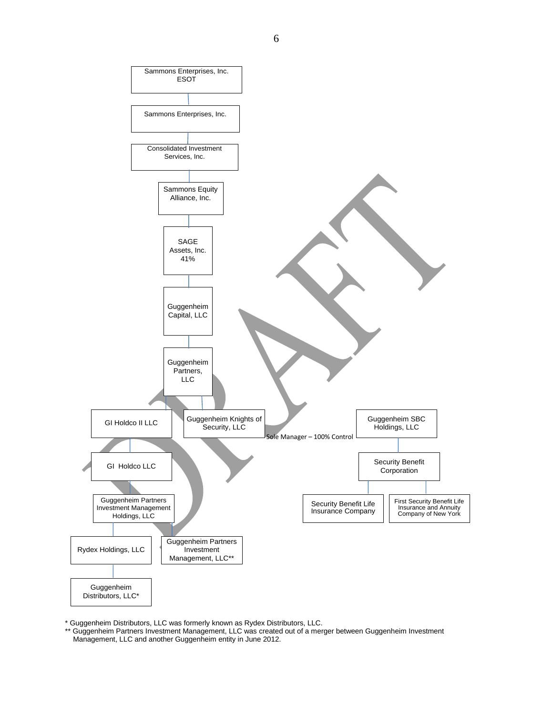

\* Guggenheim Distributors, LLC was formerly known as Rydex Distributors, LLC.

 \*\* Guggenheim Partners Investment Management, LLC was created out of a merger between Guggenheim Investment Management, LLC and another Guggenheim entity in June 2012.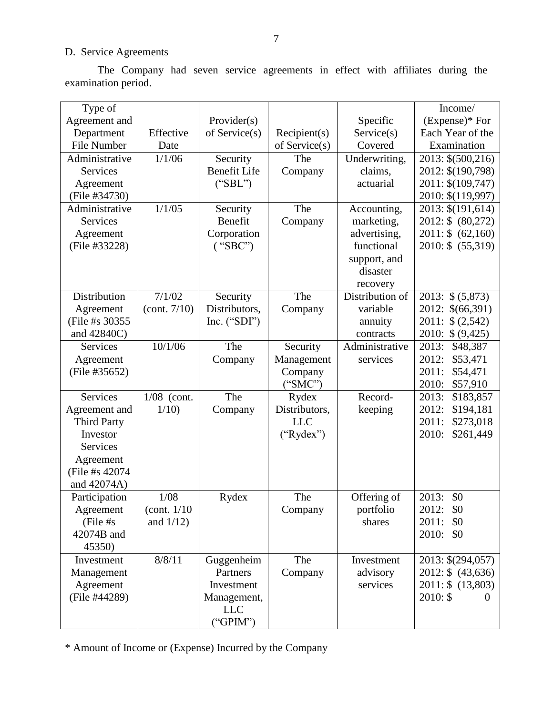## D. Service Agreements

The Company had seven service agreements in effect with affiliates during the examination period.

| Type of            |                       |                     |               |                 | Income/               |
|--------------------|-----------------------|---------------------|---------------|-----------------|-----------------------|
| Agreement and      |                       | Provider(s)         |               | Specific        | $(Express)*$ For      |
| Department         | Effective             | of $S$ ervice $(s)$ | Recipient(s)  | Service(s)      | Each Year of the      |
| File Number        | Date                  |                     | of Service(s) | Covered         | Examination           |
| Administrative     | 1/1/06                |                     |               |                 |                       |
|                    |                       | Security            | The           | Underwriting,   | 2013: \$(500,216)     |
| <b>Services</b>    |                       | <b>Benefit Life</b> | Company       | claims,         | 2012: \$(190,798)     |
| Agreement          |                       | ("SBL")             |               | actuarial       | 2011: \$(109,747)     |
| (File #34730)      |                       |                     |               |                 | 2010: \$(119,997)     |
| Administrative     | 1/1/05                | Security            | The           | Accounting,     | 2013: \$(191,614)     |
| <b>Services</b>    |                       | Benefit             | Company       | marketing,      | 2012: \$ (80,272)     |
| Agreement          |                       | Corporation         |               | advertising,    | $2011:$ \$ $(62,160)$ |
| (File #33228)      |                       | ("SBC")             |               | functional      | 2010: \$ (55,319)     |
|                    |                       |                     |               | support, and    |                       |
|                    |                       |                     |               | disaster        |                       |
|                    |                       |                     |               | recovery        |                       |
| Distribution       | 7/1/02                | Security            | The           | Distribution of | 2013: \$ (5,873)      |
| Agreement          | (cont. 7/10)          | Distributors,       | Company       | variable        | 2012: \$(66,391)      |
| (File #s 30355)    |                       | Inc. $("SDI")$      |               | annuity         | \$(2,542)<br>2011:    |
| and 42840C)        |                       |                     |               | contracts       | 2010: \$ (9,425)      |
| <b>Services</b>    | 10/1/06               | The                 | Security      | Administrative  | 2013:<br>\$48,387     |
| Agreement          |                       | Company             | Management    | services        | 2012:<br>\$53,471     |
| (File #35652)      |                       |                     | Company       |                 | 2011:<br>\$54,471     |
|                    |                       |                     | ("SMC")       |                 | 2010:<br>\$57,910     |
| <b>Services</b>    | $1/08$ (cont.         | The                 | Rydex         | Record-         | 2013:<br>\$183,857    |
| Agreement and      | 1/10                  | Company             | Distributors, | keeping         | 2012:<br>\$194,181    |
| <b>Third Party</b> |                       |                     | <b>LLC</b>    |                 | 2011:<br>\$273,018    |
| Investor           |                       |                     | ("Rydex")     |                 | \$261,449<br>2010:    |
| <b>Services</b>    |                       |                     |               |                 |                       |
| Agreement          |                       |                     |               |                 |                       |
| (File #s 42074)    |                       |                     |               |                 |                       |
| and 42074A)        |                       |                     |               |                 |                       |
| Participation      | 1/08                  | Rydex               | The           | Offering of     | 2013:<br>\$0          |
|                    |                       |                     |               |                 |                       |
| Agreement          | $\left($ cont. $1/10$ |                     | Company       | portfolio       | \$0<br>2012:          |
| (File #s           | and $1/12$ )          |                     |               | shares          | 2011:<br>\$0          |
| 42074B and         |                       |                     |               |                 | 2010:<br>\$0          |
| 45350)             |                       |                     |               |                 |                       |
| Investment         | 8/8/11                | Guggenheim          | The           | Investment      | 2013: \$(294,057)     |
| Management         |                       | Partners            | Company       | advisory        | 2012: \$ (43,636)     |
| Agreement          |                       | Investment          |               | services        | 2011: \$ (13,803)     |
| (File #44289)      |                       | Management,         |               |                 | $2010:$ \$            |
|                    |                       | <b>LLC</b>          |               |                 |                       |
|                    |                       | ("GPIM")            |               |                 |                       |

\* Amount of Income or (Expense) Incurred by the Company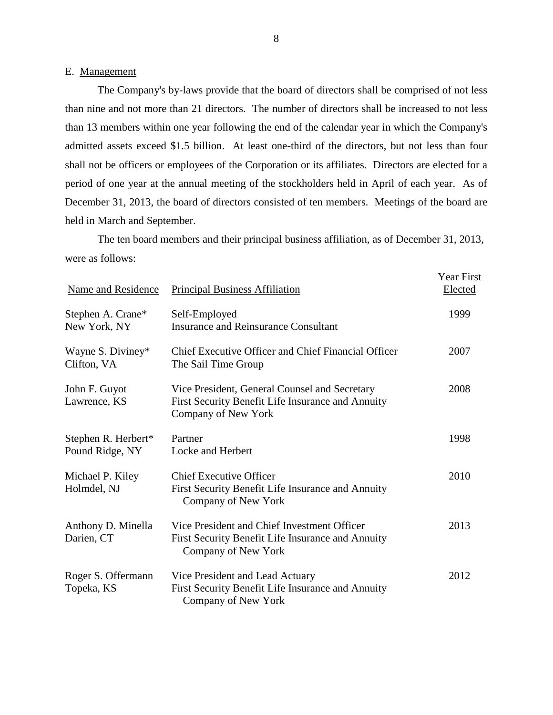#### E. Management

 The Company's by-laws provide that the board of directors shall be comprised of not less than nine and not more than 21 directors. The number of directors shall be increased to not less than 13 members within one year following the end of the calendar year in which the Company's shall not be officers or employees of the Corporation or its affiliates. Directors are elected for a period of one year at the annual meeting of the stockholders held in April of each year. As of December 31, 2013, the board of directors consisted of ten members. Meetings of the board are admitted assets exceed \$1.5 billion. At least one-third of the directors, but not less than four held in March and September.

 were as follows: The ten board members and their principal business affiliation, as of December 31, 2013,

| <b>Name and Residence</b>              | <b>Principal Business Affiliation</b>                                                                                     | <b>Year First</b><br>Elected |
|----------------------------------------|---------------------------------------------------------------------------------------------------------------------------|------------------------------|
| Stephen A. Crane*<br>New York, NY      | Self-Employed<br><b>Insurance and Reinsurance Consultant</b>                                                              | 1999                         |
| Wayne S. Diviney*<br>Clifton, VA       | Chief Executive Officer and Chief Financial Officer<br>The Sail Time Group                                                | 2007                         |
| John F. Guyot<br>Lawrence, KS          | Vice President, General Counsel and Secretary<br>First Security Benefit Life Insurance and Annuity<br>Company of New York | 2008                         |
| Stephen R. Herbert*<br>Pound Ridge, NY | Partner<br>Locke and Herbert                                                                                              | 1998                         |
| Michael P. Kiley<br>Holmdel, NJ        | <b>Chief Executive Officer</b><br>First Security Benefit Life Insurance and Annuity<br>Company of New York                | 2010                         |
| Anthony D. Minella<br>Darien, CT       | Vice President and Chief Investment Officer<br>First Security Benefit Life Insurance and Annuity<br>Company of New York   | 2013                         |
| Roger S. Offermann<br>Topeka, KS       | Vice President and Lead Actuary<br>First Security Benefit Life Insurance and Annuity<br>Company of New York               | 2012                         |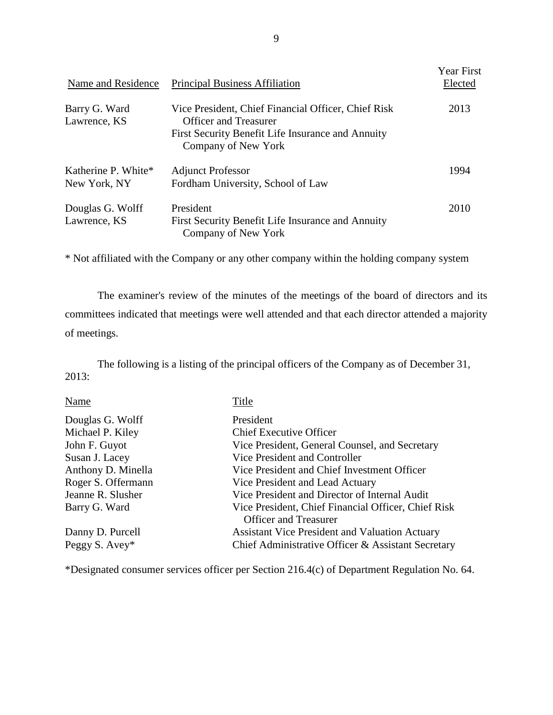| Name and Residence                  | <b>Principal Business Affiliation</b>                                                                                                                           | <b>Year First</b><br>Elected |
|-------------------------------------|-----------------------------------------------------------------------------------------------------------------------------------------------------------------|------------------------------|
| Barry G. Ward<br>Lawrence, KS       | Vice President, Chief Financial Officer, Chief Risk<br><b>Officer and Treasurer</b><br>First Security Benefit Life Insurance and Annuity<br>Company of New York | 2013                         |
| Katherine P. White*<br>New York, NY | <b>Adjunct Professor</b><br>Fordham University, School of Law                                                                                                   | 1994                         |
| Douglas G. Wolff<br>Lawrence, KS    | President<br>First Security Benefit Life Insurance and Annuity<br>Company of New York                                                                           | 2010                         |

\* Not affiliated with the Company or any other company within the holding company system

 committees indicated that meetings were well attended and that each director attended a majority The examiner's review of the minutes of the meetings of the board of directors and its of meetings.

The following is a listing of the principal officers of the Company as of December 31, 2013:

| Name               | Title                                                 |
|--------------------|-------------------------------------------------------|
| Douglas G. Wolff   | President                                             |
| Michael P. Kiley   | <b>Chief Executive Officer</b>                        |
| John F. Guyot      | Vice President, General Counsel, and Secretary        |
| Susan J. Lacey     | Vice President and Controller                         |
| Anthony D. Minella | Vice President and Chief Investment Officer           |
| Roger S. Offermann | Vice President and Lead Actuary                       |
| Jeanne R. Slusher  | Vice President and Director of Internal Audit         |
| Barry G. Ward      | Vice President, Chief Financial Officer, Chief Risk   |
|                    | <b>Officer and Treasurer</b>                          |
| Danny D. Purcell   | <b>Assistant Vice President and Valuation Actuary</b> |
| Peggy S. Avey*     | Chief Administrative Officer & Assistant Secretary    |

\*Designated consumer services officer per Section 216.4(c) of Department Regulation No. 64.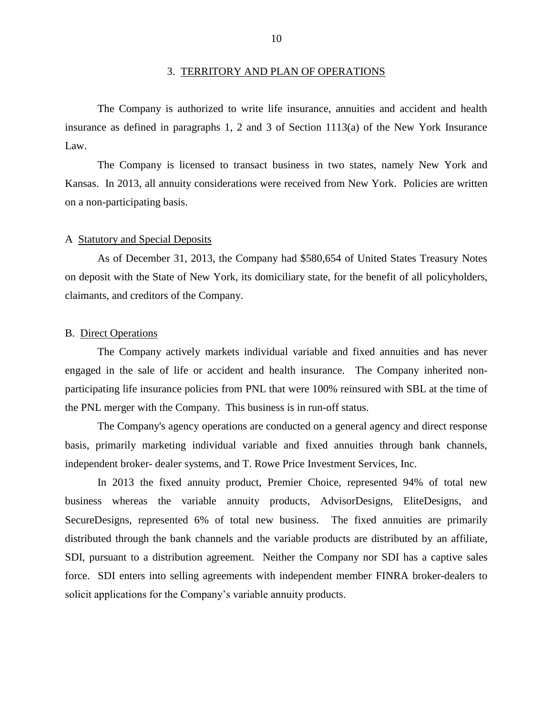#### 3. TERRITORY AND PLAN OF OPERATIONS

<span id="page-12-0"></span> The Company is authorized to write life insurance, annuities and accident and health insurance as defined in paragraphs 1, 2 and 3 of Section 1113(a) of the New York Insurance Law.

 The Company is licensed to transact business in two states, namely New York and Kansas. In 2013, all annuity considerations were received from New York. Policies are written on a non-participating basis.

#### A Statutory and Special Deposits

 As of December 31, 2013, the Company had \$580,654 of United States Treasury Notes on deposit with the State of New York, its domiciliary state, for the benefit of all policyholders, claimants, and creditors of the Company.

#### B. Direct Operations

 The Company actively markets individual variable and fixed annuities and has never engaged in the sale of life or accident and health insurance. The Company inherited non- participating life insurance policies from PNL that were 100% reinsured with SBL at the time of the PNL merger with the Company. This business is in run-off status.

 basis, primarily marketing individual variable and fixed annuities through bank channels, independent broker- dealer systems, and T. Rowe Price Investment Services, Inc. The Company's agency operations are conducted on a general agency and direct response

 In 2013 the fixed annuity product, Premier Choice, represented 94% of total new business whereas the variable annuity products, AdvisorDesigns, EliteDesigns, and SecureDesigns, represented 6% of total new business. The fixed annuities are primarily distributed through the bank channels and the variable products are distributed by an affiliate, SDI, pursuant to a distribution agreement. Neither the Company nor SDI has a captive sales force. SDI enters into selling agreements with independent member FINRA broker-dealers to solicit applications for the Company's variable annuity products.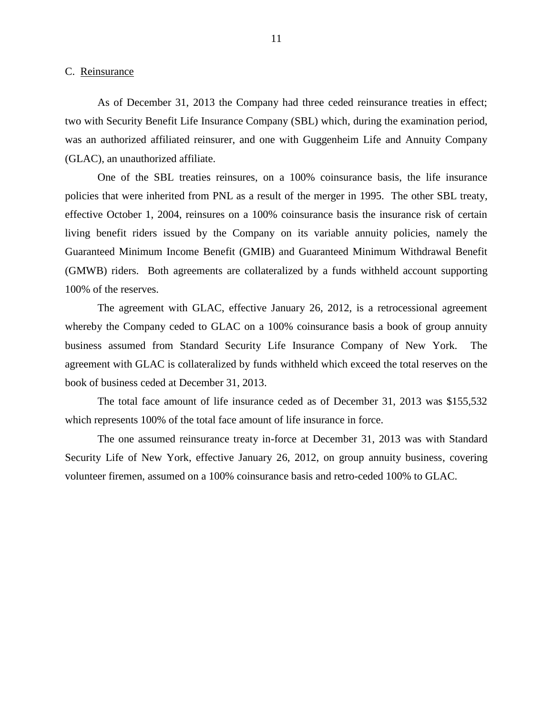<span id="page-13-0"></span>C. Reinsurance

 As of December 31, 2013 the Company had three ceded reinsurance treaties in effect; two with Security Benefit Life Insurance Company (SBL) which, during the examination period, was an authorized affiliated reinsurer, and one with Guggenheim Life and Annuity Company (GLAC), an unauthorized affiliate.

 One of the SBL treaties reinsures, on a 100% coinsurance basis, the life insurance policies that were inherited from PNL as a result of the merger in 1995. The other SBL treaty, effective October 1, 2004, reinsures on a 100% coinsurance basis the insurance risk of certain living benefit riders issued by the Company on its variable annuity policies, namely the (GMWB) riders. Both agreements are collateralized by a funds withheld account supporting Guaranteed Minimum Income Benefit (GMIB) and Guaranteed Minimum Withdrawal Benefit 100% of the reserves.

 The agreement with GLAC, effective January 26, 2012, is a retrocessional agreement whereby the Company ceded to GLAC on a 100% coinsurance basis a book of group annuity business assumed from Standard Security Life Insurance Company of New York. The agreement with GLAC is collateralized by funds withheld which exceed the total reserves on the book of business ceded at December 31, 2013. book of business ceded at December 31, 2013. The total face amount of life insurance ceded as of December 31, 2013 was \$155,532

which represents 100% of the total face amount of life insurance in force.

 The one assumed reinsurance treaty in-force at December 31, 2013 was with Standard Security Life of New York, effective January 26, 2012, on group annuity business, covering volunteer firemen, assumed on a 100% coinsurance basis and retro-ceded 100% to GLAC.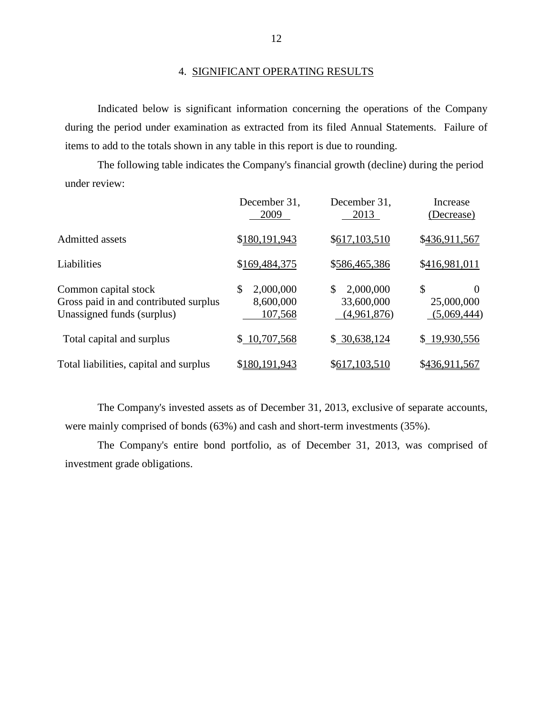#### 4. SIGNIFICANT OPERATING RESULTS

 during the period under examination as extracted from its filed Annual Statements. Failure of Indicated below is significant information concerning the operations of the Company items to add to the totals shown in any table in this report is due to rounding.

The following table indicates the Company's financial growth (decline) during the period under review:

|                                                                                             | December 31,<br>2009                    | December 31,<br>2013                         | Increase<br>(Decrease)               |
|---------------------------------------------------------------------------------------------|-----------------------------------------|----------------------------------------------|--------------------------------------|
| <b>Admitted assets</b>                                                                      | \$180,191,943                           | \$617,103,510                                | \$436,911,567                        |
| Liabilities                                                                                 | \$169,484,375                           | \$586,465,386                                | \$416,981,011                        |
| Common capital stock<br>Gross paid in and contributed surplus<br>Unassigned funds (surplus) | \$<br>2,000,000<br>8,600,000<br>107,568 | 2,000,000<br>\$<br>33,600,000<br>(4,961,876) | \$<br>0<br>25,000,000<br>(5,069,444) |
| Total capital and surplus                                                                   | \$10,707,568                            | \$30,638,124                                 | \$19,930,556                         |
| Total liabilities, capital and surplus                                                      | \$180,191,943                           | \$617,103,510                                | \$436,911,567                        |

 The Company's invested assets as of December 31, 2013, exclusive of separate accounts, were mainly comprised of bonds (63%) and cash and short-term investments (35%).

 The Company's entire bond portfolio, as of December 31, 2013, was comprised of investment grade obligations.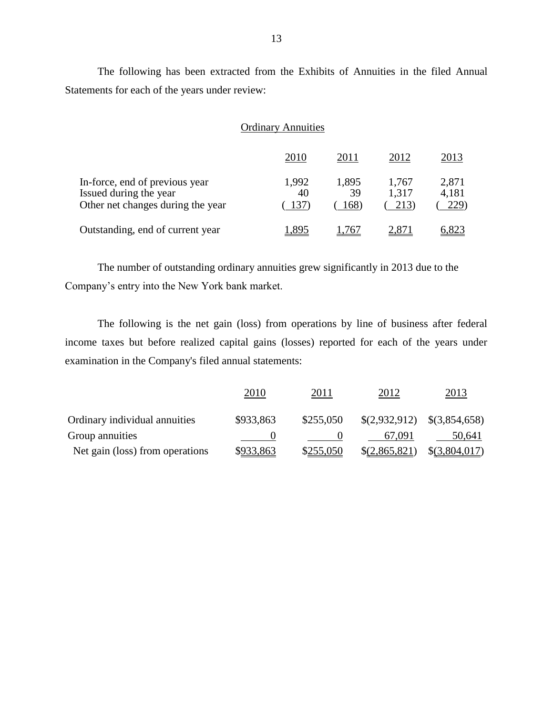The following has been extracted from the Exhibits of Annuities in the filed Annual Statements for each of the years under review:

|                                                                                               | <b>Ordinary Annuities</b> |                     |                        |                        |  |
|-----------------------------------------------------------------------------------------------|---------------------------|---------------------|------------------------|------------------------|--|
|                                                                                               | 2010                      | 2011                | 2012                   | 2013                   |  |
| In-force, end of previous year<br>Issued during the year<br>Other net changes during the year | 1,992<br>40<br>137)       | 1,895<br>39<br>168) | 1,767<br>1,317<br>213) | 2,871<br>4,181<br>229) |  |
| Outstanding, end of current year                                                              |                           | 767                 |                        | 6.823                  |  |

The number of outstanding ordinary annuities grew significantly in 2013 due to the Company's entry into the New York bank market.

 The following is the net gain (loss) from operations by line of business after federal income taxes but before realized capital gains (losses) reported for each of the years under examination in the Company's filed annual statements:

|                                 | 2010      | 2011      | 2012            | 2013                              |
|---------------------------------|-----------|-----------|-----------------|-----------------------------------|
| Ordinary individual annuities   | \$933,863 | \$255,050 |                 | $$(2,932,912) \quad $(3,854,658)$ |
| Group annuities                 |           |           | 67.091          | 50.641                            |
| Net gain (loss) from operations | \$933,863 | \$255,050 | $\S(2,865,821)$ | \$(3,804,017)                     |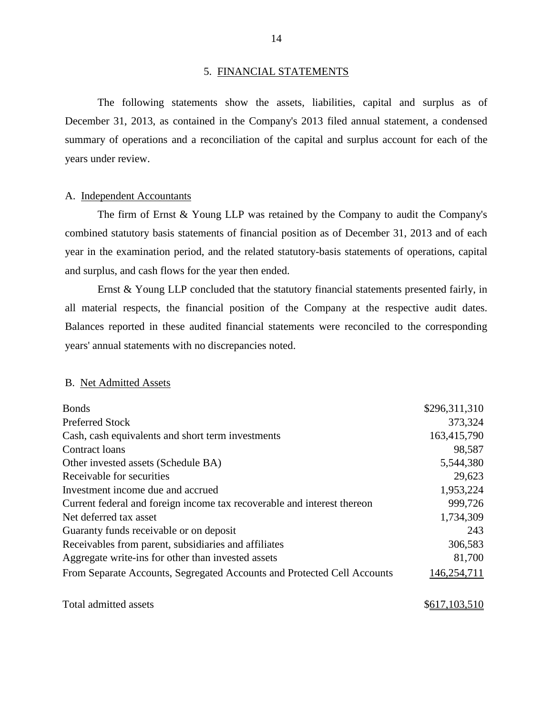#### 5. FINANCIAL STATEMENTS

 The following statements show the assets, liabilities, capital and surplus as of December 31, 2013, as contained in the Company's 2013 filed annual statement, a condensed summary of operations and a reconciliation of the capital and surplus account for each of the years under review.

#### A. Independent Accountants

 The firm of Ernst & Young LLP was retained by the Company to audit the Company's combined statutory basis statements of financial position as of December 31, 2013 and of each year in the examination period, and the related statutory-basis statements of operations, capital and surplus, and cash flows for the year then ended.

 Ernst & Young LLP concluded that the statutory financial statements presented fairly, in all material respects, the financial position of the Company at the respective audit dates. Balances reported in these audited financial statements were reconciled to the corresponding years' annual statements with no discrepancies noted.

#### B. Net Admitted Assets

| <b>Bonds</b>                                                            | \$296,311,310 |
|-------------------------------------------------------------------------|---------------|
| <b>Preferred Stock</b>                                                  | 373,324       |
| Cash, cash equivalents and short term investments                       | 163,415,790   |
| Contract loans                                                          | 98,587        |
| Other invested assets (Schedule BA)                                     | 5,544,380     |
| Receivable for securities                                               | 29,623        |
| Investment income due and accrued                                       | 1,953,224     |
| Current federal and foreign income tax recoverable and interest thereon | 999,726       |
| Net deferred tax asset                                                  | 1,734,309     |
| Guaranty funds receivable or on deposit                                 | 243           |
| Receivables from parent, subsidiaries and affiliates                    | 306,583       |
| Aggregate write-ins for other than invested assets                      | 81,700        |
| From Separate Accounts, Segregated Accounts and Protected Cell Accounts | 146,254,711   |
|                                                                         |               |

Total admitted assets  $$617,103,510$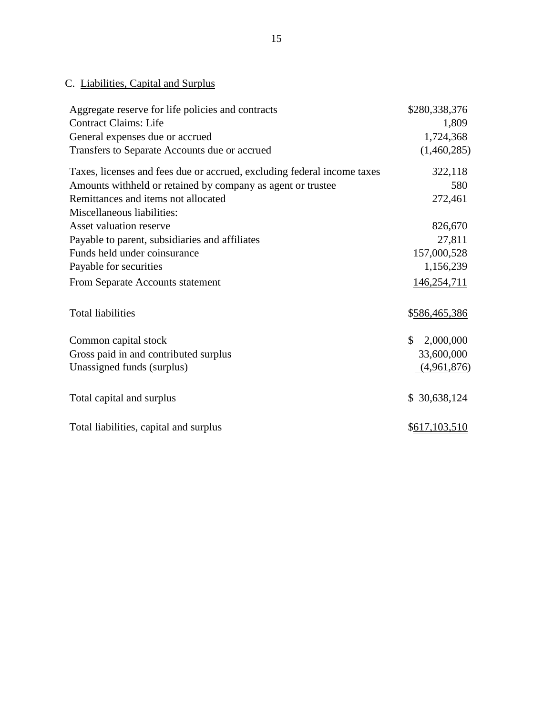## C. Liabilities, Capital and Surplus

| Aggregate reserve for life policies and contracts                       | \$280,338,376   |
|-------------------------------------------------------------------------|-----------------|
| <b>Contract Claims: Life</b>                                            | 1,809           |
| General expenses due or accrued                                         | 1,724,368       |
| Transfers to Separate Accounts due or accrued                           | (1,460,285)     |
| Taxes, licenses and fees due or accrued, excluding federal income taxes | 322,118         |
| Amounts withheld or retained by company as agent or trustee             | 580             |
| Remittances and items not allocated                                     | 272,461         |
| Miscellaneous liabilities:                                              |                 |
| Asset valuation reserve                                                 | 826,670         |
| Payable to parent, subsidiaries and affiliates                          | 27,811          |
| Funds held under coinsurance                                            | 157,000,528     |
| Payable for securities                                                  | 1,156,239       |
| From Separate Accounts statement                                        | 146,254,711     |
| <b>Total liabilities</b>                                                | \$586,465,386   |
| Common capital stock                                                    | \$<br>2,000,000 |
| Gross paid in and contributed surplus                                   | 33,600,000      |
| Unassigned funds (surplus)                                              | (4,961,876)     |
| Total capital and surplus                                               | \$30,638,124    |
| Total liabilities, capital and surplus                                  | \$617,103,510   |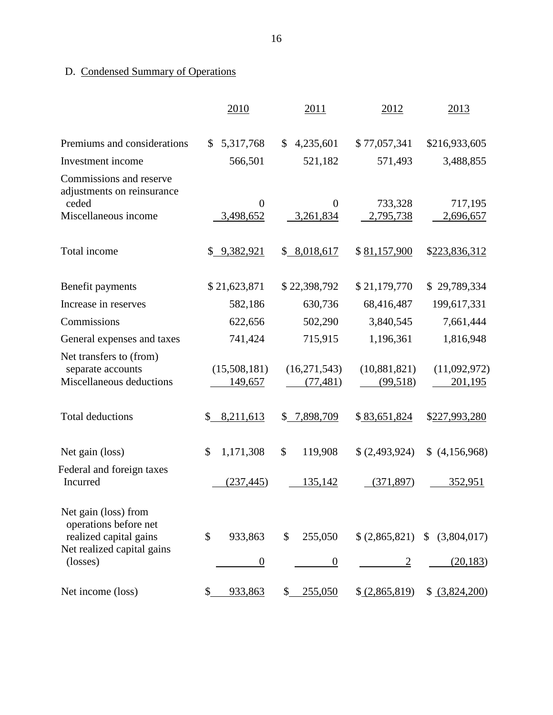## D. Condensed Summary of Operations

|                                                                          | 2010                      | 2011                        | 2012                     | 2013                            |
|--------------------------------------------------------------------------|---------------------------|-----------------------------|--------------------------|---------------------------------|
| Premiums and considerations                                              | 5,317,768<br>$\mathbb{S}$ | 4,235,601<br>$\mathbb{S}^-$ | \$77,057,341             | \$216,933,605                   |
| Investment income                                                        | 566,501                   | 521,182                     | 571,493                  | 3,488,855                       |
| Commissions and reserve<br>adjustments on reinsurance                    |                           |                             |                          |                                 |
| ceded                                                                    | $\theta$                  | $\theta$                    | 733,328                  | 717,195                         |
| Miscellaneous income                                                     | 3,498,652                 | 3,261,834                   | 2,795,738                | 2,696,657                       |
| Total income                                                             | \$9,382,921               | \$8,018,617                 | \$81,157,900             | \$223,836,312                   |
| Benefit payments                                                         | \$21,623,871              | \$22,398,792                | \$21,179,770             | \$29,789,334                    |
| Increase in reserves                                                     | 582,186                   | 630,736                     | 68,416,487               | 199,617,331                     |
| Commissions                                                              | 622,656                   | 502,290                     | 3,840,545                | 7,661,444                       |
| General expenses and taxes                                               | 741,424                   | 715,915                     | 1,196,361                | 1,816,948                       |
| Net transfers to (from)<br>separate accounts<br>Miscellaneous deductions | (15,508,181)<br>149,657   | (16,271,543)<br>(77, 481)   | (10,881,821)<br>(99,518) | (11,092,972)<br>201,195         |
| <b>Total deductions</b>                                                  | 8,211,613<br>\$           | 7,898,709<br>\$             | \$83,651,824             | \$227,993,280                   |
| Net gain (loss)                                                          | \$<br>1,171,308           | \$<br>119,908               | \$ (2,493,924)           | (4,156,968)                     |
| Federal and foreign taxes<br>Incurred                                    | (237, 445)                | 135,142                     | (371, 897)               | <u>352,951</u>                  |
| Net gain (loss) from<br>operations before net<br>realized capital gains  | \$<br>933,863             | \$<br>255,050               |                          | $$ (2,865,821) \ $ (3,804,017)$ |
| Net realized capital gains<br>(losses)                                   | $\overline{0}$            | $\overline{0}$              | $\overline{c}$           | (20, 183)                       |
| Net income (loss)                                                        | \$<br>933,863             | \$<br>255,050               | \$ (2,865,819)           | \$ (3,824,200)                  |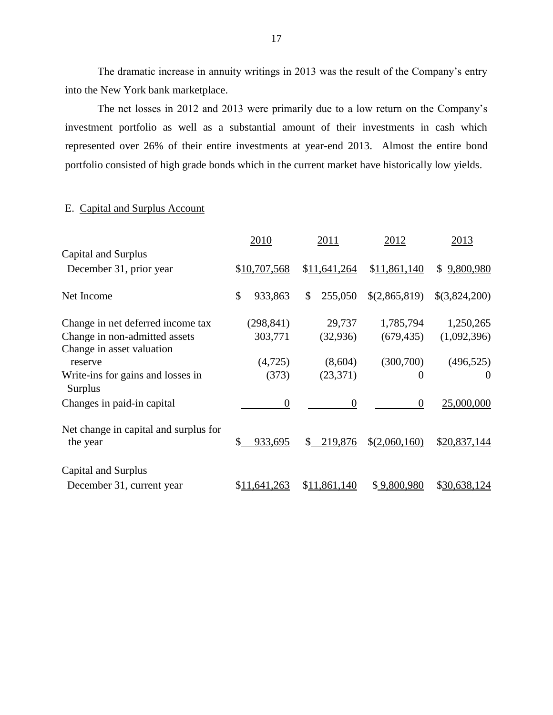The dramatic increase in annuity writings in 2013 was the result of the Company's entry into the New York bank marketplace.

 The net losses in 2012 and 2013 were primarily due to a low return on the Company's investment portfolio as well as a substantial amount of their investments in cash which represented over 26% of their entire investments at year-end 2013. Almost the entire bond portfolio consisted of high grade bonds which in the current market have historically low yields.

#### E. Capital and Surplus Account

|                                                     | 2010          | 2011          | 2012             | 2013            |
|-----------------------------------------------------|---------------|---------------|------------------|-----------------|
| Capital and Surplus                                 |               |               |                  |                 |
| December 31, prior year                             | \$10,707,568  | \$11,641,264  | \$11,861,140     | 9,800,980<br>\$ |
| Net Income                                          | \$<br>933,863 | 255,050<br>\$ | \$(2,865,819)    | \$(3,824,200)   |
| Change in net deferred income tax                   | (298, 841)    | 29,737        | 1,785,794        | 1,250,265       |
| Change in non-admitted assets                       | 303,771       | (32, 936)     | (679, 435)       | (1,092,396)     |
| Change in asset valuation<br>reserve                | (4,725)       | (8,604)       | (300, 700)       | (496, 525)      |
| Write-ins for gains and losses in<br><b>Surplus</b> | (373)         | (23, 371)     | $\overline{0}$   | $\theta$        |
| Changes in paid-in capital                          | $\theta$      | $\theta$      | $\boldsymbol{0}$ | 25,000,000      |
| Net change in capital and surplus for<br>the year   | \$<br>933,695 | 219,876<br>\$ | \$(2,060,160)    | \$20,837,144    |
| Capital and Surplus                                 |               |               |                  |                 |
| December 31, current year                           | \$11,641,263  | \$11,861,140  | \$9,800,980      | \$30,638,124    |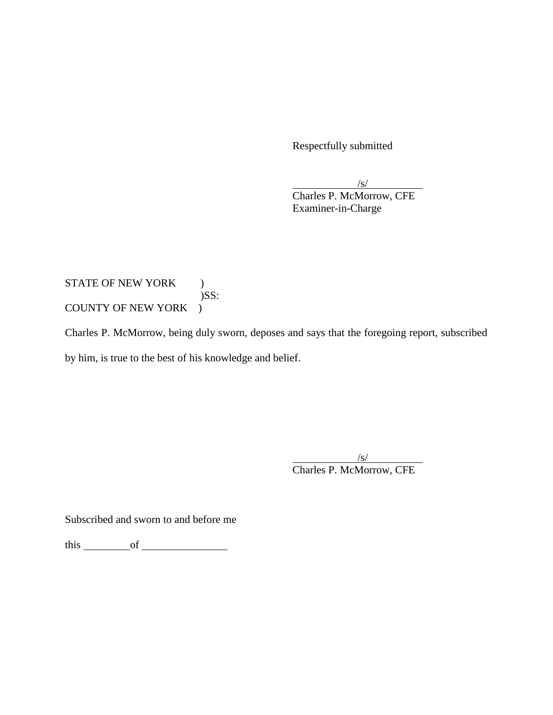Respectfully submitted

 $\frac{|s|}{s}$ 

Charles P. McMorrow, CFE Examiner-in-Charge

## STATE OF NEW YORK )  $)$ SS: COUNTY OF NEW YORK )

 Charles P. McMorrow, being duly sworn, deposes and says that the foregoing report, subscribed by him, is true to the best of his knowledge and belief.

> /s/ Charles P. McMorrow, CFE

Subscribed and sworn to and before me

this of